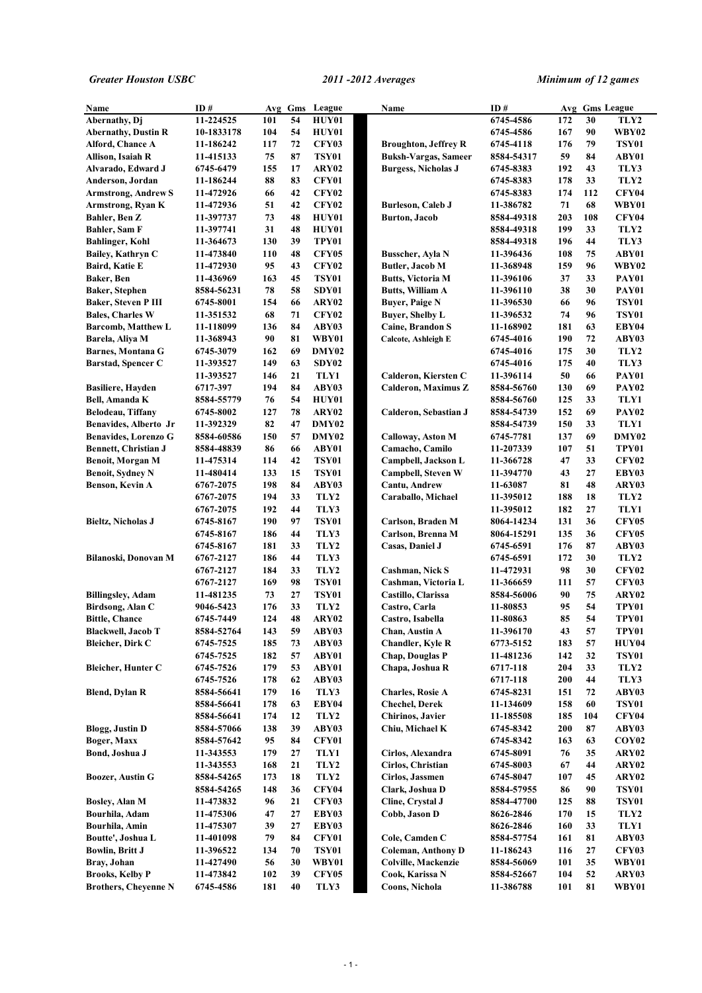| Name                        | ID#        |     |    | Avg Gms League | Name                        | ID#        |     |     | Avg Gms League    |
|-----------------------------|------------|-----|----|----------------|-----------------------------|------------|-----|-----|-------------------|
| Abernathy, Di               | 11-224525  | 101 | 54 | HUY01          |                             | 6745-4586  | 172 | 30  | TLY2              |
| <b>Abernathy, Dustin R</b>  | 10-1833178 | 104 | 54 | <b>HUY01</b>   |                             | 6745-4586  | 167 | 90  | WBY02             |
| Alford, Chance A            | 11-186242  | 117 | 72 | <b>CFY03</b>   | <b>Broughton, Jeffrey R</b> | 6745-4118  | 176 | 79  | <b>TSY01</b>      |
| Allison, Isaiah R           | 11-415133  | 75  | 87 | TSY01          | <b>Buksh-Vargas, Sameer</b> | 8584-54317 | 59  | 84  | ABY01             |
| Alvarado, Edward J          | 6745-6479  | 155 | 17 | ARY02          | <b>Burgess, Nicholas J</b>  | 6745-8383  | 192 | 43  | TLY3              |
| Anderson, Jordan            | 11-186244  | 88  | 83 | CFY01          |                             | 6745-8383  | 178 | 33  | TLY2              |
| <b>Armstrong, Andrew S</b>  | 11-472926  | 66  | 42 | <b>CFY02</b>   |                             | 6745-8383  | 174 | 112 | CFY04             |
| Armstrong, Ryan K           | 11-472936  | 51  | 42 | <b>CFY02</b>   | <b>Burleson, Caleb J</b>    | 11-386782  | 71  | 68  | WBY01             |
| Bahler, Ben Z               | 11-397737  | 73  | 48 | HUY01          | <b>Burton</b> , Jacob       | 8584-49318 | 203 | 108 | CFY04             |
| Bahler, Sam F               | 11-397741  | 31  | 48 | HUY01          |                             | 8584-49318 | 199 | 33  | TLY2              |
| <b>Bahlinger, Kohl</b>      | 11-364673  | 130 | 39 | TPY01          |                             | 8584-49318 | 196 | 44  | TLY3              |
| Bailey, Kathryn C           | 11-473840  | 110 | 48 | <b>CFY05</b>   | <b>Busscher</b> , Ayla N    | 11-396436  | 108 | 75  | ABY01             |
| Baird, Katie E              | 11-472930  | 95  | 43 | <b>CFY02</b>   | <b>Butler</b> , Jacob M     | 11-368948  | 159 | 96  | WBY02             |
| Baker, Ben                  | 11-436969  | 163 | 45 | TSY01          | <b>Butts, Victoria M</b>    | 11-396106  | 37  | 33  | PAY01             |
| <b>Baker, Stephen</b>       | 8584-56231 | 78  | 58 | SDY01          | <b>Butts, William A</b>     | 11-396110  | 38  | 30  | PAY01             |
| <b>Baker, Steven P III</b>  | 6745-8001  | 154 | 66 | ARY02          | <b>Buyer, Paige N</b>       | 11-396530  | 66  | 96  | <b>TSY01</b>      |
| <b>Bales, Charles W</b>     | 11-351532  | 68  | 71 | <b>CFY02</b>   | <b>Buyer, Shelby L</b>      | 11-396532  | 74  | 96  | <b>TSY01</b>      |
| Barcomb, Matthew L          | 11-118099  | 136 | 84 | ABY03          | Caine, Brandon S            | 11-168902  | 181 | 63  | EBY04             |
| Barela, Aliya M             | 11-368943  | 90  | 81 | WBY01          | Calcote, Ashleigh E         | 6745-4016  | 190 | 72  | ABY03             |
| <b>Barnes, Montana G</b>    | 6745-3079  | 162 | 69 | DMY02          |                             | 6745-4016  | 175 | 30  | TLY2              |
| <b>Barstad, Spencer C</b>   | 11-393527  | 149 | 63 | SDY02          |                             | 6745-4016  | 175 | 40  | TLY3              |
|                             | 11-393527  | 146 | 21 | TLY1           | Calderon, Kiersten C        | 11-396114  | 50  | 66  | PAY01             |
| <b>Basiliere, Hayden</b>    | 6717-397   | 194 | 84 | ABY03          | <b>Calderon, Maximus Z</b>  | 8584-56760 | 130 | 69  | PAY <sub>02</sub> |
| Bell, Amanda K              | 8584-55779 | 76  | 54 | HUY01          |                             | 8584-56760 | 125 | 33  | TLY1              |
| Belodeau, Tiffany           | 6745-8002  | 127 | 78 | ARY02          | Calderon, Sebastian J       | 8584-54739 | 152 | 69  | PAY <sub>02</sub> |
| Benavides, Alberto Jr       | 11-392329  | 82  | 47 | DMY02          |                             | 8584-54739 | 150 | 33  | TLY1              |
| <b>Benavides, Lorenzo G</b> | 8584-60586 | 150 | 57 | DMY02          | Calloway, Aston M           | 6745-7781  | 137 | 69  | DMY02             |
| <b>Bennett, Christian J</b> | 8584-48839 | 86  | 66 | ABY01          | Camacho, Camilo             | 11-207339  | 107 | 51  | TPY01             |
|                             |            |     | 42 |                |                             |            | 47  | 33  |                   |
| Benoit, Morgan M            | 11-475314  | 114 |    | TSY01          | Campbell, Jackson L         | 11-366728  |     |     | <b>CFY02</b>      |
| <b>Benoit, Sydney N</b>     | 11-480414  | 133 | 15 | TSY01          | Campbell, Steven W          | 11-394770  | 43  | 27  | EBY03             |
| Benson, Kevin A             | 6767-2075  | 198 | 84 | ABY03          | Cantu, Andrew               | 11-63087   | 81  | 48  | ARY03             |
|                             | 6767-2075  | 194 | 33 | TLY2           | Caraballo, Michael          | 11-395012  | 188 | 18  | TLY2              |
|                             | 6767-2075  | 192 | 44 | TLY3           |                             | 11-395012  | 182 | 27  | TLY1              |
| <b>Bieltz, Nicholas J</b>   | 6745-8167  | 190 | 97 | TSY01          | Carlson, Braden M           | 8064-14234 | 131 | 36  | <b>CFY05</b>      |
|                             | 6745-8167  | 186 | 44 | TLY3           | Carlson, Brenna M           | 8064-15291 | 135 | 36  | <b>CFY05</b>      |
|                             | 6745-8167  | 181 | 33 | TLY2           | Casas, Daniel J             | 6745-6591  | 176 | 87  | ABY03             |
| Bilanoski, Donovan M        | 6767-2127  | 186 | 44 | TLY3           |                             | 6745-6591  | 172 | 30  | TLY2              |
|                             | 6767-2127  | 184 | 33 | TLY2           | Cashman, Nick S             | 11-472931  | 98  | 30  | <b>CFY02</b>      |
|                             | 6767-2127  | 169 | 98 | TSY01          | Cashman, Victoria L         | 11-366659  | 111 | 57  | <b>CFY03</b>      |
| <b>Billingsley, Adam</b>    | 11-481235  | 73  | 27 | TSY01          | Castillo, Clarissa          | 8584-56006 | 90  | 75  | ARY02             |
| Birdsong, Alan C            | 9046-5423  | 176 | 33 | TLY2           | Castro, Carla               | 11-80853   | 95  | 54  | TPY01             |
| <b>Bittle, Chance</b>       | 6745-7449  | 124 | 48 | ARY02          | Castro, Isabella            | 11-80863   | 85  | 54  | TPY01             |
| <b>Blackwell, Jacob T</b>   | 8584-52764 | 143 | 59 | ABY03          | Chan, Austin A              | 11-396170  | 43  | 57  | TPY01             |
| <b>Bleicher</b> , Dirk C    | 6745-7525  | 185 | 73 | ABY03          | <b>Chandler, Kyle R</b>     | 6773-5152  | 183 | 57  | HUY04             |
|                             | 6745-7525  | 182 | 57 | ABY01          | <b>Chap, Douglas P</b>      | 11-481236  | 142 | 32  | <b>TSY01</b>      |
| <b>Bleicher, Hunter C</b>   | 6745-7526  | 179 | 53 | ABY01          | Chapa, Joshua R             | 6717-118   | 204 | 33  | TLY2              |
|                             | 6745-7526  | 178 | 62 | ABY03          |                             | 6717-118   | 200 | 44  | TLY3              |
| <b>Blend, Dylan R</b>       | 8584-56641 | 179 | 16 | TLY3           | <b>Charles, Rosie A</b>     | 6745-8231  | 151 | 72  | ABY03             |
|                             | 8584-56641 | 178 | 63 | EBY04          | <b>Chechel, Derek</b>       | 11-134609  | 158 | 60  | <b>TSY01</b>      |
|                             | 8584-56641 | 174 | 12 | TLY2           | Chirinos, Javier            | 11-185508  | 185 | 104 | <b>CFY04</b>      |
| <b>Blogg, Justin D</b>      | 8584-57066 | 138 | 39 | ABY03          | Chiu, Michael K             | 6745-8342  | 200 | 87  | ABY03             |
| Boger, Maxx                 | 8584-57642 | 95  | 84 | <b>CFY01</b>   |                             | 6745-8342  | 163 | 63  | COY <sub>02</sub> |
| Bond, Joshua J              | 11-343553  | 179 | 27 | TLY1           | Cirlos, Alexandra           | 6745-8091  | 76  | 35  | ARY02             |
|                             | 11-343553  | 168 | 21 | TLY2           | Cirlos, Christian           | 6745-8003  | 67  | 44  | ARY02             |
| <b>Boozer, Austin G</b>     | 8584-54265 | 173 | 18 | TLY2           | Cirlos, Jassmen             | 6745-8047  | 107 | 45  | ARY02             |
|                             | 8584-54265 | 148 | 36 | <b>CFY04</b>   | Clark, Joshua D             | 8584-57955 | 86  | 90  | <b>TSY01</b>      |
| Bosley, Alan M              | 11-473832  | 96  | 21 | <b>CFY03</b>   | Cline, Crystal J            | 8584-47700 | 125 | 88  | <b>TSY01</b>      |
| Bourhila, Adam              | 11-475306  | 47  | 27 | EBY03          | Cobb, Jason D               | 8626-2846  | 170 | 15  | TLY2              |
| Bourhila, Amin              | 11-475307  | 39  | 27 | EBY03          |                             | 8626-2846  | 160 | 33  | TLY1              |
|                             |            |     | 84 |                |                             |            |     |     |                   |
| Boutte', Joshua L           | 11-401098  | 79  |    | CFY01          | Cole, Camden C              | 8584-57754 | 161 | 81  | ABY03             |
| <b>Bowlin, Britt J</b>      | 11-396522  | 134 | 70 | <b>TSY01</b>   | <b>Coleman, Anthony D</b>   | 11-186243  | 116 | 27  | <b>CFY03</b>      |
| Bray, Johan                 | 11-427490  | 56  | 30 | WBY01          | Colville, Mackenzie         | 8584-56069 | 101 | 35  | WBY01             |
| <b>Brooks, Kelby P</b>      | 11-473842  | 102 | 39 | <b>CFY05</b>   | Cook, Karissa N             | 8584-52667 | 104 | 52  | ARY03             |
| <b>Brothers, Cheyenne N</b> | 6745-4586  | 181 | 40 | TLY3           | Coons, Nichola              | 11-386788  | 101 | 81  | WBY01             |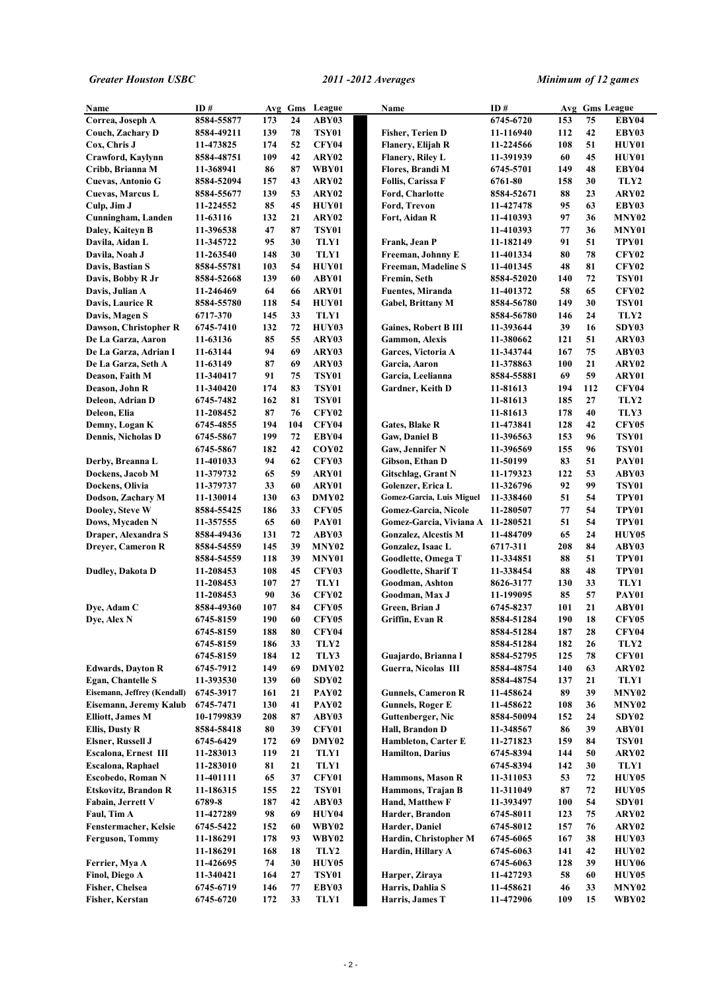| Name                                                 | ID#                    | Avg        |          | Gms League            | Name                                  | ID#                    |           |          | Avg Gms League        |
|------------------------------------------------------|------------------------|------------|----------|-----------------------|---------------------------------------|------------------------|-----------|----------|-----------------------|
| Correa, Joseph A                                     | 8584-55877             | 173        | 24       | ABY03                 |                                       | 6745-6720              | 153       | 75       | EBY04                 |
| Couch, Zachary D                                     | 8584-49211             | 139        | 78       | <b>TSY01</b>          | <b>Fisher, Terien D</b>               | 11-116940              | 112       | 42       | EBY03                 |
| Cox, Chris J                                         | 11-473825              | 174        | 52       | CFY04                 | Flanery, Elijah R                     | 11-224566              | 108       | 51       | <b>HUY01</b>          |
| Crawford, Kaylynn                                    | 8584-48751             | 109        | 42       | ARY02                 | Flanery, Riley L                      | 11-391939              | 60        | 45       | HUY01                 |
| Cribb, Brianna M                                     | 11-368941              | 86         | 87       | WBY01                 | Flores, Brandi M                      | 6745-5701              | 149       | 48       | EBY04                 |
| Cuevas, Antonio G                                    | 8584-52094             | 157        | 43       | ARY02                 | <b>Follis, Carissa F</b>              | 6761-80                | 158       | 30       | TLY2                  |
| Cuevas, Marcus L                                     | 8584-55677             | 139        | 53       | ARY02                 | Ford, Charlotte                       | 8584-52671             | 88        | 23       | ARY02                 |
| Culp, Jim J                                          | 11-224552              | 85         | 45       | HUY01                 | Ford, Trevon                          | 11-427478              | 95        | 63       | EBY03                 |
| Cunningham, Landen                                   | 11-63116               | 132        | 21       | ARY02                 | Fort, Aidan R                         | 11-410393              | 97        | 36       | MNY02                 |
| Daley, Kaiteyn B                                     | 11-396538              | 47         | 87       | <b>TSY01</b>          |                                       | 11-410393              | 77        | 36       | MNY01                 |
| Davila, Aidan L                                      | 11-345722              | 95         | 30       | TLY1                  | Frank, Jean P                         | 11-182149              | 91        | 51       | TPY01                 |
| Davila, Noah J                                       | 11-263540              | 148        | 30       | TLY1                  | Freeman, Johnny E                     | 11-401334              | 80        | 78       | <b>CFY02</b>          |
| Davis, Bastian S                                     | 8584-55781             | 103        | 54       | HUY01                 | Freeman, Madeline S                   | 11-401345              | 48        | 81       | <b>CFY02</b>          |
| Davis, Bobby R Jr                                    | 8584-52668             | 139        | 60       | ABY01                 | Fremin, Seth                          | 8584-52020             | 140       | 72       | <b>TSY01</b>          |
| Davis, Julian A                                      | 11-246469              | 64         | 66       | ARY01                 | <b>Fuentes, Miranda</b>               | 11-401372              | 58        | 65       | <b>CFY02</b>          |
| Davis, Laurice R                                     | 8584-55780             | 118        | 54       | <b>HUY01</b>          | <b>Gabel, Brittany M</b>              | 8584-56780             | 149       | 30       | <b>TSY01</b>          |
| Davis, Magen S                                       | 6717-370               | 145        | 33       | TLY1                  |                                       | 8584-56780             | 146       | 24       | TLY2                  |
| Dawson, Christopher R                                | 6745-7410              | 132        | 72       | HUY03                 | <b>Gaines, Robert B III</b>           | 11-393644              | 39        | 16       | SDY03                 |
| De La Garza, Aaron                                   | 11-63136               | 85         | 55       | ARY03                 | <b>Gammon, Alexis</b>                 | 11-380662              | 121       | 51       | ARY03                 |
| De La Garza, Adrian I                                | 11-63144               | 94         | 69       | ARY03                 | Garces, Victoria A                    | 11-343744              | 167       | 75       | ABY03                 |
| De La Garza, Seth A                                  | 11-63149               | 87         | 69       | ARY03                 | Garcia, Aaron                         | 11-378863              | 100       | 21       | ARY02                 |
| Deason, Faith M                                      | 11-340417              | 91         | 75       | <b>TSY01</b>          | Garcia, Leelianna                     | 8584-55881             | 69        | 59       | ARY01                 |
| Deason, John R                                       | 11-340420              | 174        | 83       | <b>TSY01</b>          | Gardner, Keith D                      | 11-81613               | 194       | 112      | CFY04                 |
| Deleon, Adrian D                                     | 6745-7482              | 162        | 81       | <b>TSY01</b>          |                                       | 11-81613               | 185       | 27       | TLY2                  |
| Deleon, Elia                                         | 11-208452              | 87         | 76       | <b>CFY02</b>          |                                       | 11-81613               | 178       | 40       | TLY3                  |
| Demny, Logan K                                       | 6745-4855              | 194        | 104      | CFY04                 | <b>Gates, Blake R</b>                 | 11-473841              | 128       | 42       | <b>CFY05</b>          |
| <b>Dennis, Nicholas D</b>                            | 6745-5867              | 199        | 72<br>42 | EBY04                 | <b>Gaw, Daniel B</b>                  | 11-396563              | 153       | 96<br>96 | <b>TSY01</b>          |
|                                                      | 6745-5867              | 182<br>94  | 62       | COY <sub>02</sub>     | Gaw, Jennifer N                       | 11-396569              | 155<br>83 | 51       | TSY01<br>PAY01        |
| Derby, Breanna L<br>Dockens, Jacob M                 | 11-401033<br>11-379732 | 65         | 59       | <b>CFY03</b><br>ARY01 | Gibson, Ethan D<br>Gitschlag, Grant N | 11-50199<br>11-179323  | 122       | 53       | ABY03                 |
| Dockens, Olivia                                      | 11-379737              | 33         | 60       | ARY01                 | Golenzer, Erica L                     | 11-326796              | 92        | 99       | <b>TSY01</b>          |
| Dodson, Zachary M                                    | 11-130014              | 130        | 63       | DMY02                 | Gomez-Garcia, Luis Miguel             | 11-338460              | 51        | 54       | TPY01                 |
| Dooley, Steve W                                      | 8584-55425             | 186        | 33       | <b>CFY05</b>          | Gomez-Garcia, Nicole                  | 11-280507              | 77        | 54       | TPY01                 |
| Dows, Mycaden N                                      | 11-357555              | 65         | 60       | PAY01                 | Gomez-Garcia, Viviana A 11-280521     |                        | 51        | 54       | TPY01                 |
| Draper, Alexandra S                                  | 8584-49436             | 131        | 72       | ABY03                 | <b>Gonzalez, Alcestis M</b>           | 11-484709              | 65        | 24       | HUY05                 |
| Dreyer, Cameron R                                    | 8584-54559             | 145        | 39       | MNY <sub>02</sub>     | Gonzalez, Isaac L                     | 6717-311               | 208       | 84       | ABY03                 |
|                                                      | 8584-54559             | 118        | 39       | MNY01                 | Goodlette, Omega T                    | 11-334851              | 88        | 51       | TPY01                 |
| Dudley, Dakota D                                     | 11-208453              | 108        | 45       | <b>CFY03</b>          | <b>Goodlette, Sharif T</b>            | 11-338454              | 88        | 48       | <b>TPY01</b>          |
|                                                      | 11-208453              | 107        | 27       | TLY1                  | Goodman, Ashton                       | 8626-3177              | 130       | 33       | TLY1                  |
|                                                      | 11-208453              | 90         | 36       | <b>CFY02</b>          | Goodman, Max J                        | 11-199095              | 85        | 57       | PAY01                 |
| Dve, Adam C                                          | 8584-49360             | 107        | 84       | CFY05                 | Green, Brian J                        | 6745-8237              | 101       | 21       | ABY01                 |
| Dye, Alex N                                          | 6745-8159              | 190        | 60       | CFY05                 | Griffin, Evan R                       | 8584-51284             | 190       | 18       | <b>CFY05</b>          |
|                                                      | 6745-8159              | 188        | 80       | <b>CFY04</b>          |                                       | 8584-51284             | 187       | 28       | <b>CFY04</b>          |
|                                                      | 6745-8159              | 186        | 33       | TLY2                  |                                       | 8584-51284             | 182       | 26       | TLY2                  |
|                                                      | 6745-8159              | 184        | 12       | TLY3                  | Guajardo, Brianna I                   | 8584-52795             | 125       | 78       | <b>CFY01</b>          |
| <b>Edwards, Davton R</b>                             | 6745-7912              | 149        | 69       | DMY02                 | Guerra, Nicolas III                   | 8584-48754             | 140       | 63       | ARY02                 |
| <b>Egan, Chantelle S</b>                             | 11-393530              | 139        | 60       | SDY02                 |                                       | 8584-48754             | 137       | 21       | TLY1                  |
| Eisemann, Jeffrey (Kendall)                          | 6745-3917              | 161        | 21       | PAY <sub>02</sub>     | <b>Gunnels, Cameron R</b>             | 11-458624              | 89        | 39       | <b>MNY02</b>          |
| Eisemann, Jeremy Kalub                               | 6745-7471              | 130        | 41       | <b>PAY02</b>          | <b>Gunnels, Roger E</b>               | 11-458622              | 108       | 36       | MNY02                 |
| <b>Elliott, James M</b>                              | 10-1799839             | 208        | 87       | ABY03                 | Guttenberger, Nic                     | 8584-50094             | 152       | 24       | SDY02                 |
| <b>Ellis, Dusty R</b>                                | 8584-58418             | 80         | 39       | CFY01                 | Hall, Brandon D                       | 11-348567              | 86        | 39       | ABY01                 |
| <b>Elsner, Russell J</b>                             | 6745-6429              | 172        | 69       | DMY02                 | Hambleton, Carter E                   | 11-271823              | 159       | 84       | <b>TSY01</b>          |
| <b>Escalona, Ernest III</b>                          | 11-283013              | 119        | 21       | TLY1                  | <b>Hamilton</b> , Darius              | 6745-8394              | 144       | 50       | ARY02                 |
| <b>Escalona, Raphael</b><br><b>Escobedo, Roman N</b> | 11-283010              | 81         | 21<br>37 | TLY1                  |                                       | 6745-8394              | 142       | 30       | TLY1                  |
|                                                      | 11-401111              | 65         | 22       | <b>CFY01</b>          | Hammons, Mason R<br>Hammons, Trajan B | 11-311053              | 53<br>87  | 72<br>72 | HUY05                 |
| <b>Etskovitz, Brandon R</b><br>Fabain, Jerrett V     | 11-186315<br>6789-8    | 155<br>187 | 42       | <b>TSY01</b><br>ABY03 | Hand, Matthew F                       | 11-311049<br>11-393497 | 100       | 54       | <b>HUY05</b><br>SDY01 |
| Faul, Tim A                                          | 11-427289              | 98         | 69       | HUY04                 | Harder, Brandon                       | 6745-8011              | 123       | 75       | ARY02                 |
| <b>Fenstermacher, Kelsie</b>                         | 6745-5422              | 152        | 60       | <b>WBY02</b>          | Harder, Daniel                        | 6745-8012              | 157       | 76       | ARY02                 |
| <b>Ferguson, Tommy</b>                               | 11-186291              | 178        | 93       | <b>WBY02</b>          | Hardin, Christopher M                 | 6745-6065              | 167       | 38       | <b>HUY03</b>          |
|                                                      | 11-186291              | 168        | 18       | TLY2                  | Hardin, Hillary A                     | 6745-6063              | 141       | 42       | <b>HUY02</b>          |
| Ferrier, Mya A                                       | 11-426695              | 74         | 30       | HUY05                 |                                       | 6745-6063              | 128       | 39       | HUY06                 |
| Finol, Diego A                                       | 11-340421              | 164        | 27       | <b>TSY01</b>          | Harper, Ziraya                        | 11-427293              | 58        | 60       | HUY05                 |
| Fisher, Chelsea                                      | 6745-6719              | 146        | 77       | EBY03                 | Harris, Dahlia S                      | 11-458621              | 46        | 33       | <b>MNY02</b>          |
| Fisher, Kerstan                                      | 6745-6720              | 172        | 33       | TLY1                  | Harris, James T                       | 11-472906              | 109       | 15       | <b>WBY02</b>          |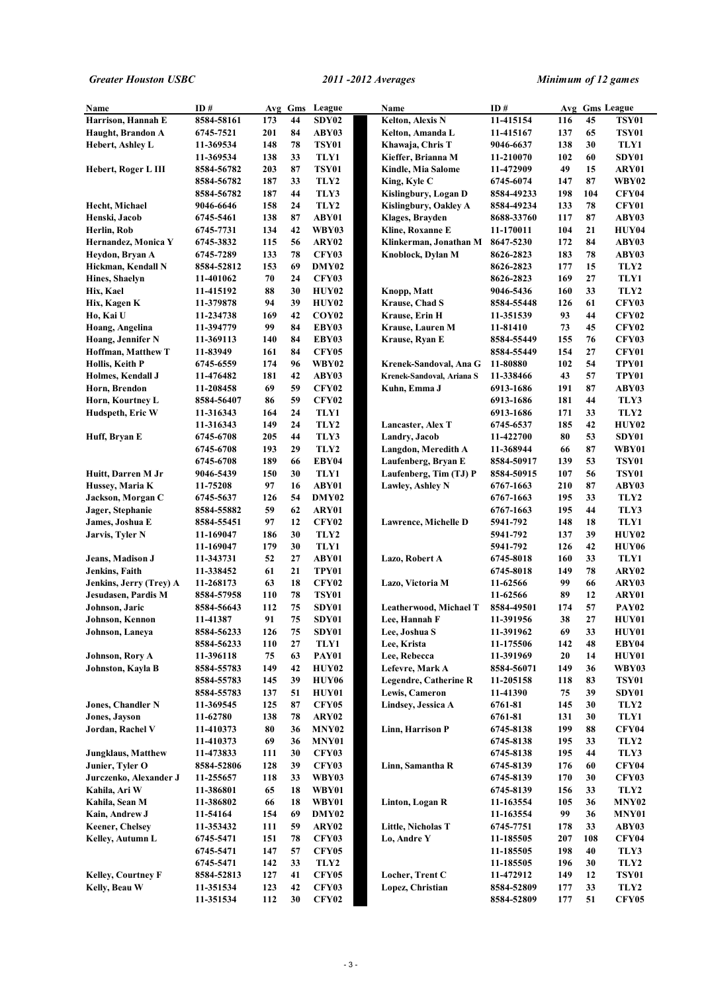| Name                       | ID#        |     | Avg Gms | League            | Name                         | ID#        |     |     | Avg Gms League    |
|----------------------------|------------|-----|---------|-------------------|------------------------------|------------|-----|-----|-------------------|
| Harrison, Hannah E         | 8584-58161 | 173 | 44      | SDY02             | Kelton, Alexis N             | 11-415154  | 116 | 45  | <b>TSY01</b>      |
| Haught, Brandon A          | 6745-7521  | 201 | 84      | ABY03             | Kelton, Amanda L             | 11-415167  | 137 | 65  | <b>TSY01</b>      |
| <b>Hebert, Ashley L</b>    | 11-369534  | 148 | 78      | <b>TSY01</b>      | Khawaja, Chris T             | 9046-6637  | 138 | 30  | TLY1              |
|                            | 11-369534  | 138 | 33      | TLY1              | Kieffer, Brianna M           | 11-210070  | 102 | 60  | SDY01             |
| Hebert, Roger L III        | 8584-56782 | 203 | 87      | TSY01             | Kindle, Mia Salome           | 11-472909  | 49  | 15  | ARY01             |
|                            | 8584-56782 | 187 | 33      | TLY2              | King, Kyle C                 | 6745-6074  | 147 | 87  | WBY02             |
|                            | 8584-56782 | 187 | 44      | TLY3              | Kislingbury, Logan D         | 8584-49233 | 198 | 104 | CFY04             |
| Hecht, Michael             | 9046-6646  | 158 | 24      | TLY2              | Kislingbury, Oakley A        | 8584-49234 | 133 | 78  | CFY01             |
| Henski, Jacob              | 6745-5461  | 138 | 87      | ABY01             | Klages, Brayden              | 8688-33760 | 117 | 87  | ABY03             |
| Herlin, Rob                | 6745-7731  | 134 | 42      | <b>WBY03</b>      | Kline, Roxanne E             | 11-170011  | 104 | 21  | HUY04             |
| Hernandez, Monica Y        | 6745-3832  | 115 | 56      | ARY02             | Klinkerman, Jonathan M       | 8647-5230  | 172 | 84  | ABY03             |
| Heydon, Bryan A            | 6745-7289  | 133 | 78      | <b>CFY03</b>      | Knoblock, Dylan M            | 8626-2823  | 183 | 78  | ABY03             |
| Hickman, Kendall N         | 8584-52812 | 153 | 69      | DMY02             |                              | 8626-2823  | 177 | 15  | TLY2              |
| Hines, Shaelyn             | 11-401062  | 70  | 24      | <b>CFY03</b>      |                              | 8626-2823  | 169 | 27  | TLY1              |
| Hix, Kael                  | 11-415192  | 88  | 30      | <b>HUY02</b>      | Knopp, Matt                  | 9046-5436  | 160 | 33  | TLY2              |
| Hix, Kagen K               | 11-379878  | 94  | 39      | <b>HUY02</b>      | <b>Krause, Chad S</b>        | 8584-55448 | 126 | 61  | <b>CFY03</b>      |
| Ho, Kai U                  | 11-234738  | 169 | 42      | COY <sub>02</sub> | Krause, Erin H               | 11-351539  | 93  | 44  | <b>CFY02</b>      |
| Hoang, Angelina            | 11-394779  | 99  | 84      | EBY03             | Krause, Lauren M             | 11-81410   | 73  | 45  | <b>CFY02</b>      |
| Hoang, Jennifer N          | 11-369113  | 140 | 84      | EBY03             | Krause, Ryan E               | 8584-55449 | 155 | 76  | <b>CFY03</b>      |
| <b>Hoffman, Matthew T</b>  | 11-83949   | 161 | 84      | <b>CFY05</b>      |                              | 8584-55449 | 154 | 27  | CFY01             |
| Hollis, Keith P            | 6745-6559  | 174 | 96      | WBY02             | Krenek-Sandoval, Ana G       | 11-80880   | 102 | 54  | TPY01             |
| Holmes, Kendall J          | 11-476482  | 181 | 42      | ABY03             | Krenek-Sandoval, Ariana S    | 11-338466  | 43  | 57  | TPY01             |
| Horn, Brendon              | 11-208458  | 69  | 59      | <b>CFY02</b>      | Kuhn, Emma J                 | 6913-1686  | 191 | 87  | ABY03             |
| Horn, Kourtney L           | 8584-56407 | 86  | 59      | <b>CFY02</b>      |                              | 6913-1686  | 181 | 44  | TLY3              |
| Hudspeth, Eric W           | 11-316343  | 164 | 24      | TLY1              |                              | 6913-1686  | 171 | 33  | TLY2              |
|                            | 11-316343  | 149 | 24      | TLY2              | Lancaster, Alex T            | 6745-6537  | 185 | 42  | HUY02             |
| Huff, Bryan E              | 6745-6708  | 205 | 44      | TLY3              | Landry, Jacob                | 11-422700  | 80  | 53  | SDY01             |
|                            | 6745-6708  | 193 | 29      | TLY2              | Langdon, Meredith A          | 11-368944  | 66  | 87  | WBY01             |
|                            | 6745-6708  | 189 | 66      | EBY04             | Laufenberg, Bryan E          | 8584-50917 | 139 | 53  | <b>TSY01</b>      |
| Huitt, Darren M Jr         | 9046-5439  | 150 | 30      | TLY1              | Laufenberg, Tim (TJ) P       | 8584-50915 | 107 | 56  | <b>TSY01</b>      |
| Hussey, Maria K            | 11-75208   | 97  | 16      | ABY01             | Lawley, Ashley N             | 6767-1663  | 210 | 87  | ABY03             |
| Jackson, Morgan C          | 6745-5637  | 126 | 54      | DMY02             |                              | 6767-1663  | 195 | 33  | TLY2              |
| Jager, Stephanie           | 8584-55882 | 59  | 62      | ARY01             |                              | 6767-1663  | 195 | 44  | TLY3              |
| James, Joshua E            | 8584-55451 | 97  | 12      | <b>CFY02</b>      | Lawrence, Michelle D         | 5941-792   | 148 | 18  | TLY1              |
| <b>Jarvis, Tyler N</b>     | 11-169047  | 186 | 30      | TLY2              |                              | 5941-792   | 137 | 39  | HUY02             |
|                            | 11-169047  | 179 | 30      | TLY1              |                              | 5941-792   | 126 | 42  | HUY06             |
| Jeans, Madison J           | 11-343731  | 52  | 27      | ABY01             | Lazo, Robert A               | 6745-8018  | 160 | 33  | TLY1              |
| Jenkins, Faith             | 11-338452  | 61  | 21      | TPY01             |                              | 6745-8018  | 149 | 78  | ARY <sub>02</sub> |
| Jenkins, Jerry (Trey) A    | 11-268173  | 63  | 18      | <b>CFY02</b>      | Lazo, Victoria M             | 11-62566   | 99  | 66  | ARY03             |
| Jesudasen, Pardis M        | 8584-57958 | 110 | 78      | <b>TSY01</b>      |                              | 11-62566   | 89  | 12  | ARY01             |
| Johnson, Jaric             | 8584-56643 | 112 | 75      | SDY01             | Leatherwood, Michael T       | 8584-49501 | 174 | 57  | PAY02             |
| Johnson, Kennon            | 11-41387   | 91  | 75      | SDY01             | Lee, Hannah F                | 11-391956  | 38  | 27  | HUY01             |
| Johnson, Laneya            | 8584-56233 | 126 | 75      | SDY01             | Lee, Joshua S                | 11-391962  | 69  | 33  | HUY01             |
|                            | 8584-56233 | 110 | 27      | TLY1              | Lee, Krista                  | 11-175506  | 142 | 48  | EBY04             |
| <b>Johnson, Rory A</b>     | 11-396118  | 75  | 63      | PAY01             | Lee, Rebecca                 | 11-391969  | 20  | 14  | HUY01             |
| Johnston, Kayla B          | 8584-55783 | 149 | 42      | HUY02             | Lefevre, Mark A              | 8584-56071 | 149 | 36  | WBY03             |
|                            | 8584-55783 | 145 | 39      | HUY06             | <b>Legendre, Catherine R</b> | 11-205158  | 118 | 83  | <b>TSY01</b>      |
|                            | 8584-55783 | 137 | 51      | HUY01             | Lewis, Cameron               | 11-41390   | 75  | 39  | SDY01             |
| <b>Jones, Chandler N</b>   | 11-369545  | 125 | 87      | <b>CFY05</b>      | Lindsey, Jessica A           | 6761-81    | 145 | 30  | TLY2              |
| Jones, Javson              | 11-62780   | 138 | 78      | ARY02             |                              | 6761-81    | 131 | 30  | TLY1              |
| Jordan, Rachel V           | 11-410373  | 80  | 36      | <b>MNY02</b>      | Linn, Harrison P             | 6745-8138  | 199 | 88  | <b>CFY04</b>      |
|                            | 11-410373  | 69  | 36      | MNY01             |                              | 6745-8138  | 195 | 33  | TLY2              |
| <b>Jungklaus</b> , Matthew | 11-473833  | 111 | 30      | <b>CFY03</b>      |                              | 6745-8138  | 195 | 44  | TLY3              |
| Junier, Tyler O            | 8584-52806 | 128 | 39      | <b>CFY03</b>      | Linn, Samantha R             | 6745-8139  | 176 | 60  | <b>CFY04</b>      |
| Jurczenko, Alexander J     | 11-255657  | 118 | 33      | WBY03             |                              | 6745-8139  | 170 | 30  | <b>CFY03</b>      |
| Kahila, Ari W              | 11-386801  | 65  | 18      | WBY01             |                              | 6745-8139  | 156 | 33  | TLY2              |
| Kahila, Sean M             | 11-386802  | 66  | 18      | WBY01             | Linton, Logan R              | 11-163554  | 105 | 36  | <b>MNY02</b>      |
| Kain, Andrew J             | 11-54164   | 154 | 69      | DMY02             |                              | 11-163554  | 99  | 36  | MNY01             |
| <b>Keener, Chelsey</b>     | 11-353432  | 111 | 59      | ARY02             | Little, Nicholas T           | 6745-7751  | 178 | 33  | ABY03             |
| Kelley, Autumn L           | 6745-5471  | 151 | 78      | <b>CFY03</b>      | Lo, Andre Y                  | 11-185505  | 207 | 108 | <b>CFY04</b>      |
|                            | 6745-5471  | 147 | 57      | <b>CFY05</b>      |                              | 11-185505  | 198 | 40  | TLY3              |
|                            | 6745-5471  | 142 | 33      | TLY2              |                              | 11-185505  | 196 | 30  | TLY2              |
| <b>Kelley, Courtney F</b>  | 8584-52813 | 127 | 41      | <b>CFY05</b>      | Locher, Trent C              | 11-472912  | 149 | 12  | <b>TSY01</b>      |
| Kelly, Beau W              | 11-351534  | 123 | 42      | <b>CFY03</b>      | Lopez, Christian             | 8584-52809 | 177 | 33  | TLY2              |
|                            | 11-351534  | 112 | 30      | <b>CFY02</b>      |                              | 8584-52809 | 177 | 51  | <b>CFY05</b>      |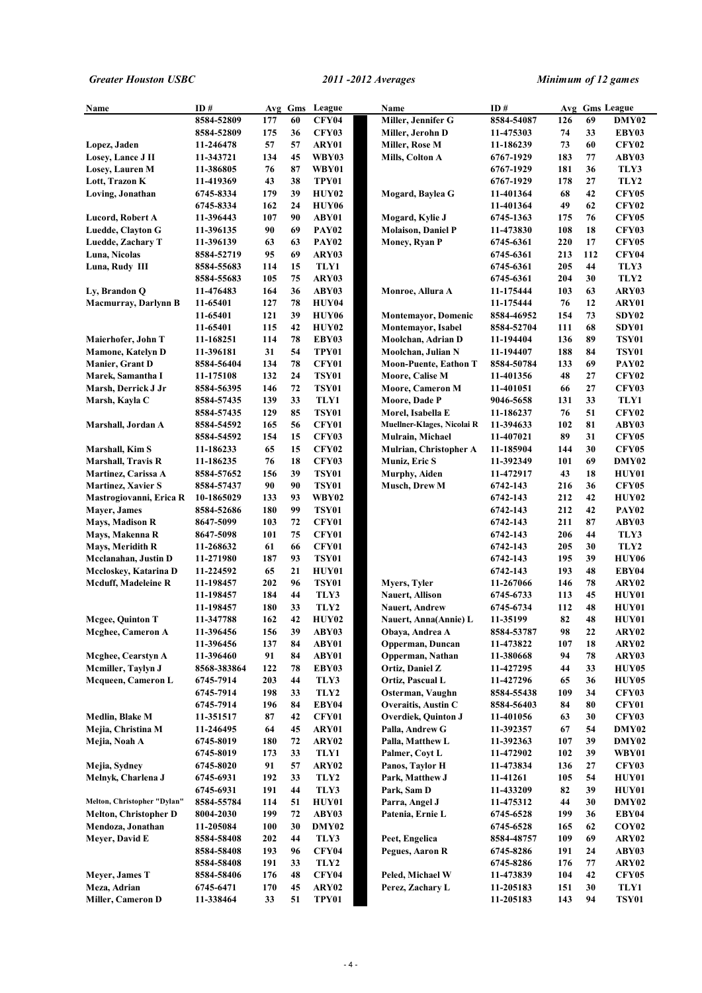| Name                         | ID#         |            | Avg Gms | League            | Name                         | ID#        |     |     | Avg Gms League    |
|------------------------------|-------------|------------|---------|-------------------|------------------------------|------------|-----|-----|-------------------|
|                              | 8584-52809  | 177        | 60      | <b>CFY04</b>      | Miller, Jennifer G           | 8584-54087 | 126 | 69  | DMY02             |
|                              | 8584-52809  | 175        | 36      | <b>CFY03</b>      | Miller, Jerohn D             | 11-475303  | 74  | 33  | EBY03             |
| Lopez, Jaden                 | 11-246478   | 57         | 57      | ARY01             | Miller, Rose M               | 11-186239  | 73  | 60  | <b>CFY02</b>      |
| Losey, Lance J II            | 11-343721   | 134        | 45      | WBY03             | Mills, Colton A              | 6767-1929  | 183 | 77  | ABY03             |
| Losev, Lauren M              | 11-386805   | 76         | 87      | WBY01             |                              | 6767-1929  | 181 | 36  | TLY3              |
| Lott, Trazon K               | 11-419369   | 43         | 38      | TPY01             |                              | 6767-1929  | 178 | 27  | TLY2              |
| Loving, Jonathan             | 6745-8334   | 179        | 39      | <b>HUY02</b>      | Mogard, Baylea G             | 11-401364  | 68  | 42  | <b>CFY05</b>      |
|                              | 6745-8334   | 162        | 24      | HUY06             |                              | 11-401364  | 49  | 62  | <b>CFY02</b>      |
| Lucord, Robert A             | 11-396443   | 107        | 90      | ABY01             | Mogard, Kylie J              | 6745-1363  | 175 | 76  | <b>CFY05</b>      |
| Luedde, Clayton G            | 11-396135   | 90         | 69      | <b>PAY02</b>      | <b>Molaison, Daniel P</b>    | 11-473830  | 108 | 18  | <b>CFY03</b>      |
| Luedde, Zachary T            | 11-396139   | 63         | 63      | PAY <sub>02</sub> | <b>Money, Ryan P</b>         | 6745-6361  | 220 | 17  | <b>CFY05</b>      |
| Luna, Nicolas                | 8584-52719  | 95         | 69      | ARY03             |                              | 6745-6361  | 213 | 112 | CFY04             |
| Luna, Rudy III               | 8584-55683  | 114        | 15      | TLY1              |                              | 6745-6361  | 205 | 44  | TLY3              |
|                              | 8584-55683  | 105        | 75      | ARY03             |                              | 6745-6361  | 204 | 30  | TLY2              |
| Ly, Brandon Q                | 11-476483   | 164        | 36      | ABY03             | Monroe, Allura A             | 11-175444  | 103 | 63  | ARY03             |
| Macmurray, Darlynn B         | 11-65401    | 127        | 78      | HUY04             |                              | 11-175444  | 76  | 12  | ARY01             |
|                              | 11-65401    | 121        | 39      | HUY06             | <b>Montemayor, Domenic</b>   | 8584-46952 | 154 | 73  | SDY02             |
|                              | 11-65401    | 115        | 42      | <b>HUY02</b>      | Montemayor, Isabel           | 8584-52704 | 111 | 68  | SDY01             |
| Maierhofer, John T           | 11-168251   | 114        | 78      | EBY03             | Moolchan, Adrian D           | 11-194404  | 136 | 89  | <b>TSY01</b>      |
| <b>Mamone, Katelyn D</b>     | 11-396181   | 31         | 54      | TPY01             | Moolchan, Julian N           | 11-194407  | 188 | 84  | <b>TSY01</b>      |
| <b>Manier, Grant D</b>       | 8584-56404  | 134        | 78      | CFY01             | <b>Moon-Puente, Eathon T</b> | 8584-50784 | 133 | 69  | PAY02             |
| Marek, Samantha I            | 11-175108   | 132        | 24      | <b>TSY01</b>      | Moore, Calise M              | 11-401356  | 48  | 27  | <b>CFY02</b>      |
| Marsh, Derrick J Jr          | 8584-56395  | 146        | 72      | <b>TSY01</b>      | <b>Moore, Cameron M</b>      | 11-401051  | 66  | 27  | <b>CFY03</b>      |
| Marsh, Kayla C               | 8584-57435  | 139        | 33      | TLY1              | Moore, Dade P                | 9046-5658  | 131 | 33  | TLY1              |
|                              | 8584-57435  | 129        | 85      | TSY01             | Morel, Isabella E            | 11-186237  | 76  | 51  | <b>CFY02</b>      |
| Marshall, Jordan A           | 8584-54592  | 165        | 56      | CFY01             | Muellner-Klages, Nicolai R   | 11-394633  | 102 | 81  | ABY03             |
|                              | 8584-54592  | 154        | 15      | <b>CFY03</b>      | Mulrain, Michael             | 11-407021  | 89  | 31  | <b>CFY05</b>      |
| Marshall, Kim S              | 11-186233   | 65         | 15      | <b>CFY02</b>      | Mulrian, Christopher A       | 11-185904  | 144 | 30  | <b>CFY05</b>      |
| <b>Marshall, Travis R</b>    | 11-186235   | 76         | 18      | <b>CFY03</b>      | Muniz, Eric S                | 11-392349  | 101 | 69  | DMY02             |
| Martinez, Carissa A          | 8584-57652  | 156        | 39      | <b>TSY01</b>      | Murphy, Aiden                | 11-472917  | 43  | 18  | <b>HUY01</b>      |
| <b>Martinez, Xavier S</b>    | 8584-57437  | 90         | 90      | <b>TSY01</b>      | Musch, Drew M                | 6742-143   | 216 | 36  | <b>CFY05</b>      |
| Mastrogiovanni, Erica R      | 10-1865029  | 133        | 93      | WBY02             |                              | 6742-143   | 212 | 42  | <b>HUY02</b>      |
| <b>Mayer</b> , James         | 8584-52686  | 180        | 99      | <b>TSY01</b>      |                              | 6742-143   | 212 | 42  | PAY <sub>02</sub> |
| <b>Mays, Madison R</b>       | 8647-5099   | 103        | 72      | CFY01             |                              | 6742-143   | 211 | 87  | ABY03             |
| Mays, Makenna R              | 8647-5098   | 101        | 75      | CFY01             |                              | 6742-143   | 206 | 44  | TLY3              |
| Mays, Meridith R             | 11-268632   | 61         | 66      | CFY01             |                              | 6742-143   | 205 | 30  | TLY2              |
| Mcclanahan, Justin D         | 11-271980   | 187        | 93      | <b>TSY01</b>      |                              | 6742-143   | 195 | 39  | HUY06             |
| Mccloskey, Katarina D        | 11-224592   | 65         | 21      | <b>HUY01</b>      |                              | 6742-143   | 193 | 48  | EBY04             |
| Mcduff, Madeleine R          | 11-198457   | 202        | 96      | <b>TSY01</b>      | Myers, Tyler                 | 11-267066  | 146 | 78  | ARY02             |
|                              | 11-198457   | 184        | 44      | TLY3              | <b>Nauert, Allison</b>       | 6745-6733  | 113 | 45  | <b>HUY01</b>      |
|                              | 11-198457   | 180        | 33      | TLY2              | <b>Nauert, Andrew</b>        | 6745-6734  | 112 | 48  | <b>HUY01</b>      |
| <b>Mcgee, Quinton T</b>      | 11-347788   | 162        | 42      | HUY02             | Nauert, Anna(Annie) L        | 11-35199   | 82  | 48  | HUY01             |
| <b>Mcghee, Cameron A</b>     | 11-396456   | 156        | 39      | ABY03             | Obaya, Andrea A              | 8584-53787 | 98  | 22  | ARY02             |
|                              | 11-396456   | 137        | 84      | ABY01             | Opperman, Duncan             | 11-473822  | 107 | 18  | ARY02             |
| Mcghee, Cearstyn A           | 11-396460   | 91         | 84      | ABY01             | Opperman, Nathan             | 11-380668  | 94  | 78  | ARY03             |
| Mcmiller, Taylyn J           | 8568-383864 | 122        | 78      | EBY03             | Ortiz, Daniel Z              | 11-427295  | 44  | 33  | HUY05             |
| Mcqueen, Cameron L           | 6745-7914   | 203        | 44      | TLY3              | Ortiz, Pascual L             | 11-427296  | 65  | 36  | <b>HUY05</b>      |
|                              | 6745-7914   | 198        | 33      | TLY2              | Osterman, Vaughn             | 8584-55438 | 109 | 34  | <b>CFY03</b>      |
|                              | 6745-7914   | 196        | 84      | EBY04             | <b>Overaitis, Austin C</b>   | 8584-56403 | 84  | 80  | <b>CFY01</b>      |
| Medlin, Blake M              | 11-351517   | 87         | 42      | <b>CFY01</b>      | Overdiek, Quinton J          | 11-401056  | 63  | 30  | <b>CFY03</b>      |
| Mejia, Christina M           | 11-246495   | 64         | 45      | ARY01             | Palla, Andrew G              | 11-392357  | 67  | 54  | <b>DMY02</b>      |
| Mejia, Noah A                | 6745-8019   | 180        | 72      | ARY02             | Palla, Matthew L             | 11-392363  | 107 | 39  | DMY02             |
|                              | 6745-8019   | 173        | 33      | TLY1              | Palmer, Coyt L               | 11-472902  | 102 | 39  | WBY01             |
| Mejia, Sydney                | 6745-8020   | 91         | 57      | ARY02             | Panos, Taylor H              | 11-473834  | 136 | 27  | <b>CFY03</b>      |
| Melnyk, Charlena J           | 6745-6931   | 192        | 33      | TLY2              | Park, Matthew J              | 11-41261   | 105 | 54  | <b>HUY01</b>      |
|                              | 6745-6931   | 191        | 44      | TLY3              | Park, Sam D                  | 11-433209  | 82  | 39  | HUY01             |
| Melton, Christopher "Dylan"  | 8584-55784  | 114        | 51      | HUY01             | Parra, Angel J               | 11-475312  | 44  | 30  | <b>DMY02</b>      |
| <b>Melton, Christopher D</b> | 8004-2030   | 199        | 72      | ABY03             | Patenia, Ernie L             | 6745-6528  | 199 | 36  | EBY04             |
| Mendoza, Jonathan            | 11-205084   | <b>100</b> | 30      | DMY02             |                              | 6745-6528  | 165 | 62  | COY <sub>02</sub> |
| Meyer, David E               | 8584-58408  | 202        | 44      | TLY3              | Peet, Engelica               | 8584-48757 | 109 | 69  | ARY02             |
|                              | 8584-58408  | 193        | 96      | <b>CFY04</b>      | Pegues, Aaron R              | 6745-8286  | 191 | 24  | ABY03             |
|                              | 8584-58408  | 191        | 33      | TLY2              |                              | 6745-8286  | 176 | 77  | ARY02             |
| Meyer, James T               | 8584-58406  | 176        | 48      | <b>CFY04</b>      | Peled, Michael W             | 11-473839  | 104 | 42  | <b>CFY05</b>      |
| Meza, Adrian                 | 6745-6471   | 170        | 45      | ARY02             | Perez, Zachary L             | 11-205183  | 151 | 30  | TLY1              |
| Miller, Cameron D            | 11-338464   | 33         | 51      | TPY01             |                              | 11-205183  | 143 | 94  | <b>TSY01</b>      |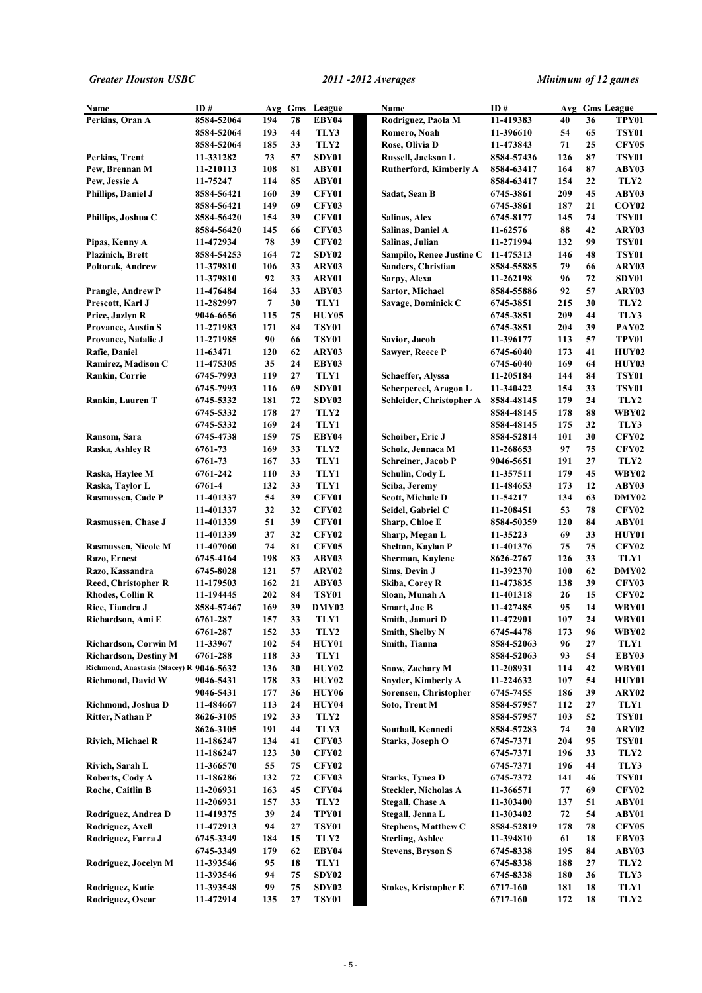| Name                                         | ID#                    | Avg        | Gms      | League         | Name                                        | ID#                      | Avg        | <b>Gms League</b> |                   |
|----------------------------------------------|------------------------|------------|----------|----------------|---------------------------------------------|--------------------------|------------|-------------------|-------------------|
| Perkins, Oran A                              | 8584-52064             | 194        | 78       | EBY04          | Rodriguez, Paola M                          | 11-419383                | 40         | 36                | TPY01             |
|                                              | 8584-52064             | 193        | 44       | TLY3           | Romero, Noah                                | 11-396610                | 54         | 65                | <b>TSY01</b>      |
|                                              | 8584-52064             | 185        | 33       | TLY2           | Rose, Olivia D                              | 11-473843                | 71         | 25                | <b>CFY05</b>      |
| Perkins, Trent                               | 11-331282              | 73         | 57       | SDY01          | Russell, Jackson L                          | 8584-57436               | 126        | 87                | <b>TSY01</b>      |
| Pew, Brennan M                               | 11-210113              | 108        | 81       | ABY01          | <b>Rutherford, Kimberly A</b>               | 8584-63417               | 164        | 87                | ABY03             |
| Pew, Jessie A                                | 11-75247               | 114        | 85       | ABY01          |                                             | 8584-63417               | 154        | 22                | TLY2              |
| Phillips, Daniel J                           | 8584-56421             | 160        | 39       | CFY01          | Sadat, Sean B                               | 6745-3861                | 209        | 45                | ABY03             |
|                                              | 8584-56421             | 149        | 69       | <b>CFY03</b>   |                                             | 6745-3861                | 187        | 21                | COY <sub>02</sub> |
| Phillips, Joshua C                           | 8584-56420             | 154        | 39       | CFY01          | Salinas, Alex                               | 6745-8177                | 145        | 74                | <b>TSY01</b>      |
|                                              | 8584-56420             | 145        | 66       | <b>CFY03</b>   | Salinas, Daniel A                           | 11-62576                 | 88         | 42                | ARY03             |
| Pipas, Kenny A                               | 11-472934              | 78         | 39       | <b>CFY02</b>   | Salinas, Julian                             | 11-271994                | 132        | 99                | <b>TSY01</b>      |
| <b>Plazinich</b> , Brett                     | 8584-54253             | 164        | 72       | SDY02          | Sampilo, Renee Justine C                    | 11-475313                | 146        | 48                | <b>TSY01</b>      |
| Poltorak, Andrew                             | 11-379810              | 106        | 33<br>33 | ARY03          | Sanders, Christian                          | 8584-55885               | 79         | 66                | ARY03             |
|                                              | 11-379810              | 92<br>164  | 33       | ARY01<br>ABY03 | Sarpy, Alexa                                | 11-262198                | 96<br>92   | 72<br>57          | SDY01             |
| <b>Prangle, Andrew P</b><br>Prescott, Karl J | 11-476484<br>11-282997 | 7          | 30       | TLY1           | Sartor, Michael<br>Savage, Dominick C       | 8584-55886               | 215        | 30                | ARY03<br>TLY2     |
| Price, Jazlyn R                              | 9046-6656              | 115        | 75       | HUY05          |                                             | 6745-3851<br>6745-3851   | 209        | 44                | TLY3              |
| <b>Provance, Austin S</b>                    | 11-271983              | 171        | 84       | <b>TSY01</b>   |                                             | 6745-3851                | 204        | 39                | PAY02             |
| Provance, Natalie J                          | 11-271985              | 90         | 66       | <b>TSY01</b>   | Savior, Jacob                               | 11-396177                | 113        | 57                | TPY01             |
| Rafie, Daniel                                | 11-63471               | 120        | 62       | ARY03          | <b>Sawyer, Reece P</b>                      | 6745-6040                | 173        | 41                | HUY02             |
| Ramirez, Madison C                           | 11-475305              | 35         | 24       | EBY03          |                                             | 6745-6040                | 169        | 64                | HUY03             |
| Rankin, Corrie                               | 6745-7993              | 119        | 27       | TLY1           | Schaeffer, Alyssa                           | 11-205184                | 144        | 84                | <b>TSY01</b>      |
|                                              | 6745-7993              | 116        | 69       | SDY01          | Scherpereel, Aragon L                       | 11-340422                | 154        | 33                | <b>TSY01</b>      |
| Rankin, Lauren T                             | 6745-5332              | 181        | 72       | SDY02          | Schleider, Christopher A                    | 8584-48145               | 179        | 24                | TLY2              |
|                                              | 6745-5332              | 178        | 27       | TLY2           |                                             | 8584-48145               | 178        | 88                | WBY02             |
|                                              | 6745-5332              | 169        | 24       | TLY1           |                                             | 8584-48145               | 175        | 32                | TLY3              |
| Ransom, Sara                                 | 6745-4738              | 159        | 75       | EBY04          | Schoiber, Eric J                            | 8584-52814               | 101        | 30                | <b>CFY02</b>      |
| Raska, Ashley R                              | 6761-73                | 169        | 33       | TLY2           | Scholz, Jennaca M                           | 11-268653                | 97         | 75                | <b>CFY02</b>      |
|                                              | 6761-73                | 167        | 33       | TLY1           | <b>Schreiner, Jacob P</b>                   | 9046-5651                | 191        | 27                | TLY2              |
| Raska, Haylee M                              | 6761-242               | 110        | 33       | TLY1           | Schulin, Cody L                             | 11-357511                | 179        | 45                | WBY02             |
| Raska, Taylor L                              | 6761-4                 | 132        | 33       | TLY1           | Sciba, Jeremy                               | 11-484653                | 173        | 12                | ABY03             |
| Rasmussen, Cade P                            | 11-401337              | 54         | 39       | CFY01          | <b>Scott, Michale D</b>                     | 11-54217                 | 134        | 63                | DMY02             |
|                                              | 11-401337              | 32         | 32       | <b>CFY02</b>   | Seidel, Gabriel C                           | 11-208451                | 53         | 78                | <b>CFY02</b>      |
| <b>Rasmussen, Chase J</b>                    | 11-401339              | 51         | 39       | CFY01          | Sharp, Chloe E                              | 8584-50359               | 120        | 84                | ABY01             |
|                                              | 11-401339              | 37         | 32       | <b>CFY02</b>   | Sharp, Megan L                              | 11-35223                 | 69         | 33                | <b>HUY01</b>      |
| <b>Rasmussen, Nicole M</b>                   | 11-407060              | 74         | 81       | <b>CFY05</b>   | Shelton, Kaylan P                           | 11-401376                | 75         | 75                | <b>CFY02</b>      |
| Razo, Ernest                                 | 6745-4164              | 198        | 83       | ABY03          | Sherman, Kaylene                            | 8626-2767                | 126        | 33                | TLY1              |
| Razo, Kassandra                              | 6745-8028              | 121        | 57       | ARY02          | Sims, Devin J                               | 11-392370                | 100        | 62                | DMY02             |
| <b>Reed, Christopher R</b>                   | 11-179503              | 162        | 21       | ABY03          | Skiba, Corey R                              | 11-473835                | 138        | 39                | <b>CFY03</b>      |
| <b>Rhodes, Collin R</b>                      | 11-194445              | 202        | 84       | <b>TSY01</b>   | Sloan, Munah A                              | 11-401318                | 26         | 15                | <b>CFY02</b>      |
| Rice, Tiandra J                              | 8584-57467             | 169        | 39       | DMY02          | <b>Smart, Joe B</b>                         | 11-427485                | 95         | 14                | WBY01             |
| Richardson, Ami E                            | 6761-287               | 157        | 33       | TLY1           | Smith, Jamari D                             | 11-472901                | 107        | 24                | WBY01             |
|                                              | 6761-287               | 152        | 33       | TLY2           | Smith, Shelby N                             | 6745-4478                | 173        | 96                | <b>WBY02</b>      |
| Richardson, Corwin M                         | 11-33967               | 102        | 54       | HUY01          | Smith, Tianna                               | 8584-52063               | 96         | 27                | TLY1              |
| <b>Richardson, Destiny M</b>                 | 6761-288               | 118        | 33       | TLY1           |                                             | 8584-52063               | 93         | 54                | EBY03             |
| Richmond, Anastasia (Stacey) R 9046-5632     |                        | 136        | 30       | <b>HUY02</b>   | Snow, Zachary M                             | 11-208931                | 114        | 42                | WBY01             |
| <b>Richmond, David W</b>                     | 9046-5431              | 178        | 33<br>36 | HUY02          | Snyder, Kimberly A<br>Sorensen, Christopher | 11-224632                | 107        | 54<br>39          | HUY01             |
| Richmond, Joshua D                           | 9046-5431              | 177<br>113 | 24       | HUY06<br>HUY04 | Soto, Trent M                               | 6745-7455                | 186<br>112 | 27                | ARY02<br>TLY1     |
| Ritter, Nathan P                             | 11-484667<br>8626-3105 | 192        | 33       | TLY2           |                                             | 8584-57957<br>8584-57957 | 103        | 52                | <b>TSY01</b>      |
|                                              | 8626-3105              | 191        | 44       | TLY3           | Southall, Kennedi                           | 8584-57283               | 74         | 20                | ARY02             |
| <b>Rivich, Michael R</b>                     | 11-186247              | 134        | 41       | <b>CFY03</b>   | Starks, Joseph O                            | 6745-7371                | 204        | 95                | <b>TSY01</b>      |
|                                              | 11-186247              | 123        | 30       | <b>CFY02</b>   |                                             | 6745-7371                | 196        | 33                | TLY2              |
| Rivich, Sarah L                              | 11-366570              | 55         | 75       | <b>CFY02</b>   |                                             | 6745-7371                | 196        | 44                | TLY3              |
| Roberts, Cody A                              | 11-186286              | 132        | 72       | <b>CFY03</b>   | Starks, Tynea D                             | 6745-7372                | 141        | 46                | <b>TSY01</b>      |
| Roche, Caitlin B                             | 11-206931              | 163        | 45       | <b>CFY04</b>   | <b>Steckler, Nicholas A</b>                 | 11-366571                | 77         | 69                | <b>CFY02</b>      |
|                                              | 11-206931              | 157        | 33       | TLY2           | <b>Stegall, Chase A</b>                     | 11-303400                | 137        | 51                | ABY01             |
| Rodriguez, Andrea D                          | 11-419375              | 39         | 24       | TPY01          | Stegall, Jenna L                            | 11-303402                | 72         | 54                | ABY01             |
| Rodriguez, Axell                             | 11-472913              | 94         | 27       | <b>TSY01</b>   | <b>Stephens, Matthew C</b>                  | 8584-52819               | 178        | 78                | <b>CFY05</b>      |
| Rodriguez, Farra J                           | 6745-3349              | 184        | 15       | TLY2           | <b>Sterling, Ashlee</b>                     | 11-394810                | 61         | 18                | EBY03             |
|                                              | 6745-3349              | 179        | 62       | EBY04          | <b>Stevens, Bryson S</b>                    | 6745-8338                | 195        | 84                | ABY03             |
| Rodriguez, Jocelyn M                         | 11-393546              | 95         | 18       | TLY1           |                                             | 6745-8338                | 188        | 27                | TLY2              |
|                                              | 11-393546              | 94         | 75       | SDY02          |                                             | 6745-8338                | 180        | 36                | TLY3              |
| Rodriguez, Katie                             | 11-393548              | 99         | 75       | SDY02          | <b>Stokes, Kristopher E</b>                 | 6717-160                 | 181        | 18                | TLY1              |
| Rodriguez, Oscar                             | 11-472914              | 135        | 27       | <b>TSY01</b>   |                                             | 6717-160                 | 172        | 18                | TLY2              |